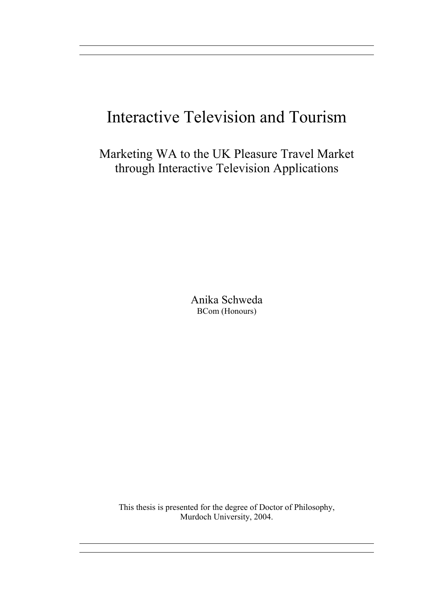# Interactive Television and Tourism

Marketing WA to the UK Pleasure Travel Market through Interactive Television Applications

> Anika Schweda BCom (Honours)

This thesis is presented for the degree of Doctor of Philosophy, Murdoch University, 2004.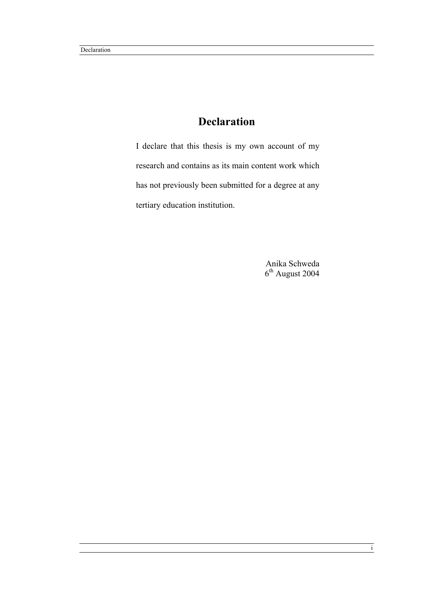### **Declaration**

<span id="page-2-0"></span>I declare that this thesis is my own account of my research and contains as its main content work which has not previously been submitted for a degree at any tertiary education institution.

> Anika Schweda  $6<sup>th</sup>$  August 2004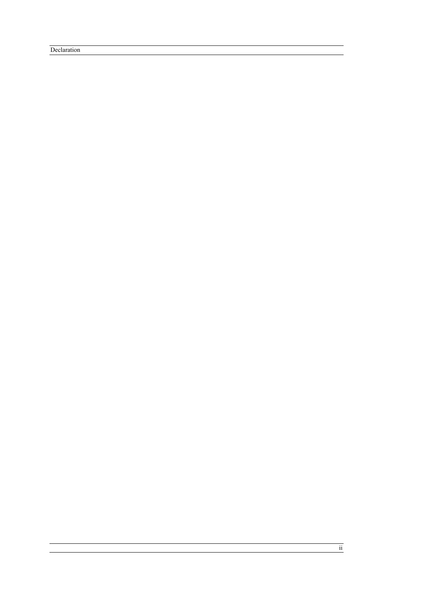Declaration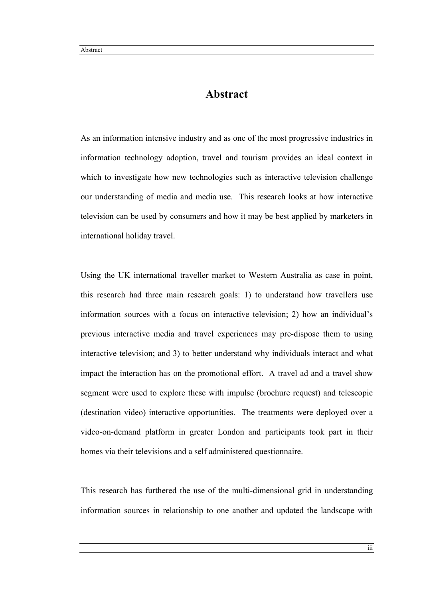### **Abstract**

<span id="page-4-0"></span>As an information intensive industry and as one of the most progressive industries in information technology adoption, travel and tourism provides an ideal context in which to investigate how new technologies such as interactive television challenge our understanding of media and media use. This research looks at how interactive television can be used by consumers and how it may be best applied by marketers in international holiday travel.

Using the UK international traveller market to Western Australia as case in point, this research had three main research goals: 1) to understand how travellers use information sources with a focus on interactive television; 2) how an individual's previous interactive media and travel experiences may pre-dispose them to using interactive television; and 3) to better understand why individuals interact and what impact the interaction has on the promotional effort. A travel ad and a travel show segment were used to explore these with impulse (brochure request) and telescopic (destination video) interactive opportunities. The treatments were deployed over a video-on-demand platform in greater London and participants took part in their homes via their televisions and a self administered questionnaire.

This research has furthered the use of the multi-dimensional grid in understanding information sources in relationship to one another and updated the landscape with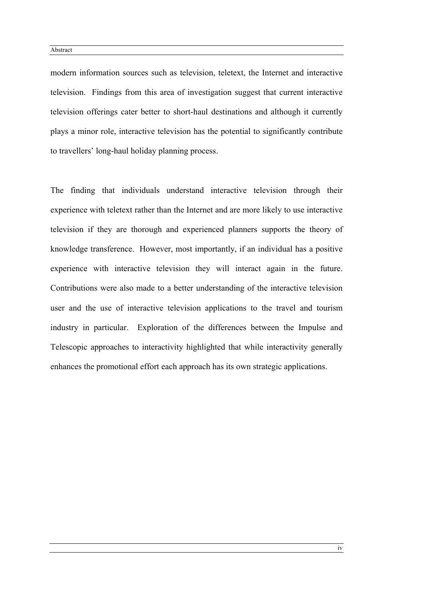modern information sources such as television, teletext, the Internet and interactive television. Findings from this area of investigation suggest that current interactive television offerings cater better to short-haul destinations and although it currently plays a minor role, interactive television has the potential to significantly contribute to travellers' long-haul holiday planning process.

The finding that individuals understand interactive television through their experience with teletext rather than the Internet and are more likely to use interactive television if they are thorough and experienced planners supports the theory of knowledge transference. However, most importantly, if an individual has a positive experience with interactive television they will interact again in the future. Contributions were also made to a better understanding of the interactive television user and the use of interactive television applications to the travel and tourism industry in particular. Exploration of the differences between the Impulse and Telescopic approaches to interactivity highlighted that while interactivity generally enhances the promotional effort each approach has its own strategic applications.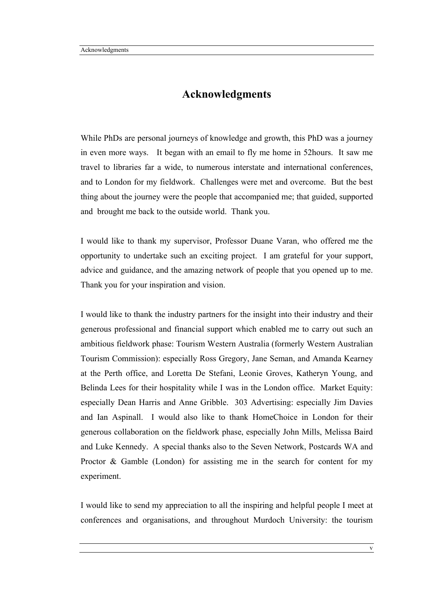### **Acknowledgments**

<span id="page-6-0"></span>While PhDs are personal journeys of knowledge and growth, this PhD was a journey in even more ways. It began with an email to fly me home in 52hours. It saw me travel to libraries far a wide, to numerous interstate and international conferences, and to London for my fieldwork. Challenges were met and overcome. But the best thing about the journey were the people that accompanied me; that guided, supported and brought me back to the outside world. Thank you.

I would like to thank my supervisor, Professor Duane Varan, who offered me the opportunity to undertake such an exciting project. I am grateful for your support, advice and guidance, and the amazing network of people that you opened up to me. Thank you for your inspiration and vision.

I would like to thank the industry partners for the insight into their industry and their generous professional and financial support which enabled me to carry out such an ambitious fieldwork phase: Tourism Western Australia (formerly Western Australian Tourism Commission): especially Ross Gregory, Jane Seman, and Amanda Kearney at the Perth office, and Loretta De Stefani, Leonie Groves, Katheryn Young, and Belinda Lees for their hospitality while I was in the London office. Market Equity: especially Dean Harris and Anne Gribble. 303 Advertising: especially Jim Davies and Ian Aspinall. I would also like to thank HomeChoice in London for their generous collaboration on the fieldwork phase, especially John Mills, Melissa Baird and Luke Kennedy. A special thanks also to the Seven Network, Postcards WA and Proctor & Gamble (London) for assisting me in the search for content for my experiment.

I would like to send my appreciation to all the inspiring and helpful people I meet at conferences and organisations, and throughout Murdoch University: the tourism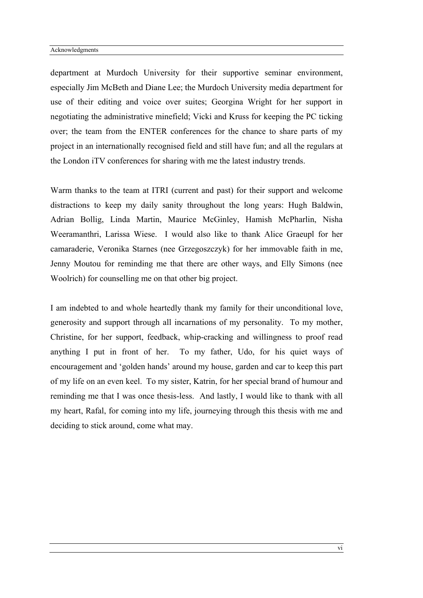department at Murdoch University for their supportive seminar environment, especially Jim McBeth and Diane Lee; the Murdoch University media department for use of their editing and voice over suites; Georgina Wright for her support in negotiating the administrative minefield; Vicki and Kruss for keeping the PC ticking over; the team from the ENTER conferences for the chance to share parts of my project in an internationally recognised field and still have fun; and all the regulars at the London iTV conferences for sharing with me the latest industry trends.

Warm thanks to the team at ITRI (current and past) for their support and welcome distractions to keep my daily sanity throughout the long years: Hugh Baldwin, Adrian Bollig, Linda Martin, Maurice McGinley, Hamish McPharlin, Nisha Weeramanthri, Larissa Wiese. I would also like to thank Alice Graeupl for her camaraderie, Veronika Starnes (nee Grzegoszczyk) for her immovable faith in me, Jenny Moutou for reminding me that there are other ways, and Elly Simons (nee Woolrich) for counselling me on that other big project.

I am indebted to and whole heartedly thank my family for their unconditional love, generosity and support through all incarnations of my personality. To my mother, Christine, for her support, feedback, whip-cracking and willingness to proof read anything I put in front of her. To my father, Udo, for his quiet ways of encouragement and 'golden hands' around my house, garden and car to keep this part of my life on an even keel. To my sister, Katrin, for her special brand of humour and reminding me that I was once thesis-less. And lastly, I would like to thank with all my heart, Rafal, for coming into my life, journeying through this thesis with me and deciding to stick around, come what may.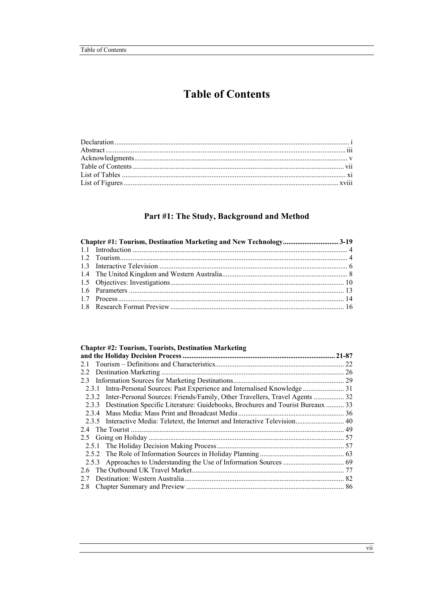# **Table of Contents**

<span id="page-8-0"></span>

### Part #1: The Study, Background and Method

| Chapter #1: Tourism, Destination Marketing and New Technology3-19 |  |
|-------------------------------------------------------------------|--|
|                                                                   |  |
|                                                                   |  |
|                                                                   |  |
|                                                                   |  |
|                                                                   |  |
|                                                                   |  |
|                                                                   |  |
|                                                                   |  |

#### **Chapter #2: Tourism, Tourists, Destination Marketing**

| Chapter $n\omega$ , Tourism, Tourists, Destination marketing                         |            |
|--------------------------------------------------------------------------------------|------------|
|                                                                                      | $.21 - 87$ |
|                                                                                      | 22         |
| 2.2                                                                                  |            |
|                                                                                      |            |
| 2.3.1 Intra-Personal Sources: Past Experience and Internalised Knowledge  31         |            |
| 2.3.2 Inter-Personal Sources: Friends/Family, Other Travellers, Travel Agents  32    |            |
| 2.3.3 Destination Specific Literature: Guidebooks, Brochures and Tourist Bureaux  33 |            |
|                                                                                      |            |
| 2.3.5 Interactive Media: Teletext, the Internet and Interactive Television 40        |            |
|                                                                                      |            |
|                                                                                      |            |
|                                                                                      |            |
|                                                                                      |            |
|                                                                                      |            |
| 2.6                                                                                  |            |
| 2.7                                                                                  |            |
| 2.8                                                                                  |            |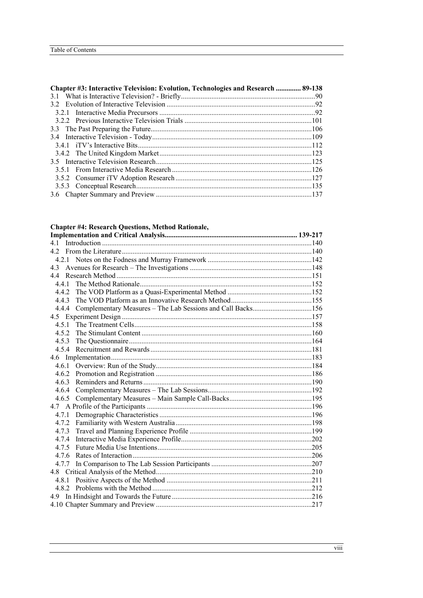| Chapter #3: Interactive Television: Evolution, Technologies and Research  89-138 |  |
|----------------------------------------------------------------------------------|--|
|                                                                                  |  |
|                                                                                  |  |
|                                                                                  |  |
|                                                                                  |  |
|                                                                                  |  |
|                                                                                  |  |
|                                                                                  |  |
|                                                                                  |  |
|                                                                                  |  |
|                                                                                  |  |
|                                                                                  |  |
|                                                                                  |  |
|                                                                                  |  |
|                                                                                  |  |

#### **Chapter #4: Research Questions, Method Rationale,**

| спартенит, козданен дисяция, виссию капонак, |  |
|----------------------------------------------|--|
|                                              |  |
|                                              |  |
|                                              |  |
| 43                                           |  |
|                                              |  |
|                                              |  |
|                                              |  |
|                                              |  |
|                                              |  |
|                                              |  |
|                                              |  |
|                                              |  |
|                                              |  |
|                                              |  |
|                                              |  |
|                                              |  |
|                                              |  |
|                                              |  |
|                                              |  |
|                                              |  |
|                                              |  |
|                                              |  |
|                                              |  |
|                                              |  |
|                                              |  |
|                                              |  |
|                                              |  |
|                                              |  |
|                                              |  |
|                                              |  |
|                                              |  |
| 4.9                                          |  |
|                                              |  |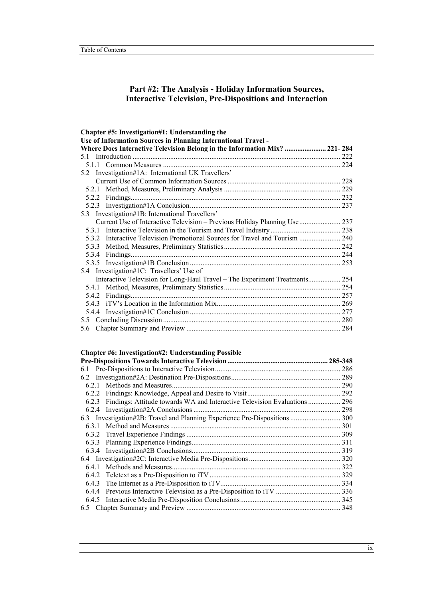#### **Part #2: The Analysis - Holiday Information Sources, Interactive Television, Pre-Dispositions and Interaction**

|     | Chapter #5: Investigation#1: Understanding the                               |     |
|-----|------------------------------------------------------------------------------|-----|
|     | Use of Information Sources in Planning International Travel -                |     |
|     | Where Does Interactive Television Belong in the Information Mix?  221-284    |     |
|     |                                                                              | 222 |
|     |                                                                              |     |
|     | 5.2 Investigation#1A: International UK Travellers'                           |     |
|     |                                                                              |     |
|     |                                                                              |     |
|     | 5.2.2 Findings                                                               |     |
|     |                                                                              |     |
| 5.3 | Investigation#1B: International Travellers'                                  |     |
|     | Current Use of Interactive Television - Previous Holiday Planning Use  237   |     |
|     |                                                                              |     |
|     | 5.3.2 Interactive Television Promotional Sources for Travel and Tourism  240 |     |
|     |                                                                              |     |
|     | 5.3.4 Findings.                                                              |     |
|     |                                                                              |     |
|     | 5.4 Investigation#1C: Travellers' Use of                                     |     |
|     | Interactive Television for Long-Haul Travel – The Experiment Treatments 254  |     |
|     |                                                                              |     |
|     | 5.4.2 Findings                                                               |     |
|     |                                                                              |     |
|     |                                                                              |     |
|     |                                                                              |     |
|     |                                                                              |     |

#### **Chapter #6: Investigation#2: Understanding Possible**

|                                                                                    | 285-348 |
|------------------------------------------------------------------------------------|---------|
| 6.1                                                                                | 286     |
| 6.2                                                                                |         |
| 6.2.1                                                                              |         |
| 6.2.2                                                                              |         |
| Findings: Attitude towards WA and Interactive Television Evaluations  296<br>6.2.3 |         |
| 6.2.4                                                                              |         |
|                                                                                    |         |
|                                                                                    |         |
|                                                                                    |         |
|                                                                                    |         |
|                                                                                    |         |
|                                                                                    |         |
| 6.4.1                                                                              |         |
|                                                                                    | 329     |
| 6.4.3                                                                              |         |
| 6.4.4                                                                              |         |
|                                                                                    |         |
|                                                                                    |         |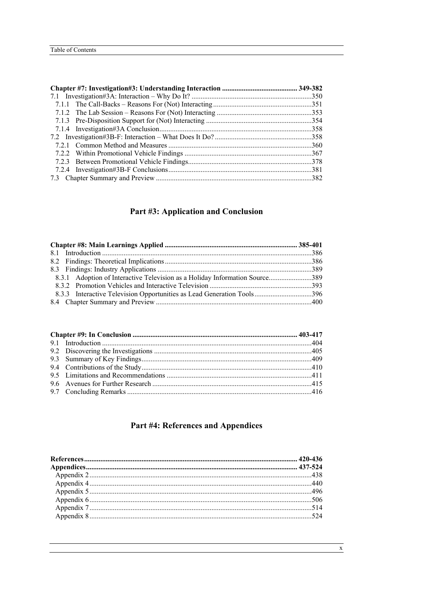#### Part #3: Application and Conclusion

| 8.3.1 Adoption of Interactive Television as a Holiday Information Source389 |  |
|-----------------------------------------------------------------------------|--|
|                                                                             |  |
|                                                                             |  |
|                                                                             |  |

### Part #4: References and Appendices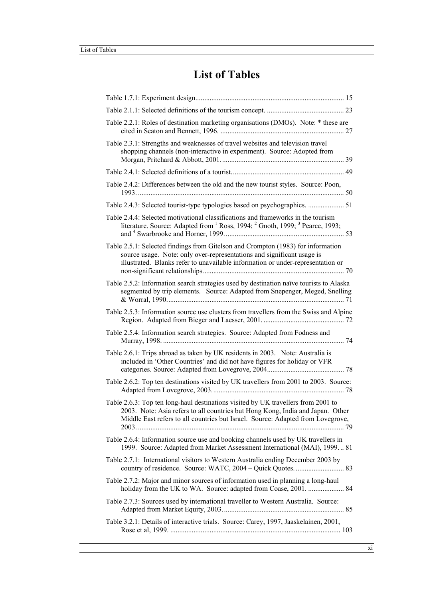# **List of Tables**

<span id="page-12-0"></span>

| Table 2.2.1: Roles of destination marketing organisations (DMOs). Note: * these are                                                                                                                                                                    |
|--------------------------------------------------------------------------------------------------------------------------------------------------------------------------------------------------------------------------------------------------------|
| Table 2.3.1: Strengths and weaknesses of travel websites and television travel<br>shopping channels (non-interactive in experiment). Source: Adopted from                                                                                              |
|                                                                                                                                                                                                                                                        |
| Table 2.4.2: Differences between the old and the new tourist styles. Source: Poon,                                                                                                                                                                     |
| Table 2.4.3: Selected tourist-type typologies based on psychographics.  51                                                                                                                                                                             |
| Table 2.4.4: Selected motivational classifications and frameworks in the tourism<br>literature. Source: Adapted from <sup>1</sup> Ross, 1994; <sup>2</sup> Gnoth, 1999; <sup>3</sup> Pearce, 1993;                                                     |
| Table 2.5.1: Selected findings from Gitelson and Crompton (1983) for information<br>source usage. Note: only over-representations and significant usage is<br>illustrated. Blanks refer to unavailable information or under-representation or          |
| Table 2.5.2: Information search strategies used by destination naïve tourists to Alaska<br>segmented by trip elements. Source: Adapted from Snepenger, Meged, Snelling                                                                                 |
| Table 2.5.3: Information source use clusters from travellers from the Swiss and Alpine                                                                                                                                                                 |
| Table 2.5.4: Information search strategies. Source: Adapted from Fodness and                                                                                                                                                                           |
| Table 2.6.1: Trips abroad as taken by UK residents in 2003. Note: Australia is<br>included in 'Other Countries' and did not have figures for holiday or VFR                                                                                            |
| Table 2.6.2: Top ten destinations visited by UK travellers from 2001 to 2003. Source:                                                                                                                                                                  |
| Table 2.6.3: Top ten long-haul destinations visited by UK travellers from 2001 to<br>2003. Note: Asia refers to all countries but Hong Kong, India and Japan. Other<br>Middle East refers to all countries but Israel. Source: Adapted from Lovegrove, |
| Table 2.6.4: Information source use and booking channels used by UK travellers in<br>1999. Source: Adapted from Market Assessment International (MAI), 1999 81                                                                                         |
| Table 2.7.1: International visitors to Western Australia ending December 2003 by                                                                                                                                                                       |
| Table 2.7.2: Major and minor sources of information used in planning a long-haul<br>holiday from the UK to WA. Source: adapted from Coase, 2001.  84                                                                                                   |
| Table 2.7.3: Sources used by international traveller to Western Australia. Source:                                                                                                                                                                     |
| Table 3.2.1: Details of interactive trials. Source: Carey, 1997, Jaaskelainen, 2001,                                                                                                                                                                   |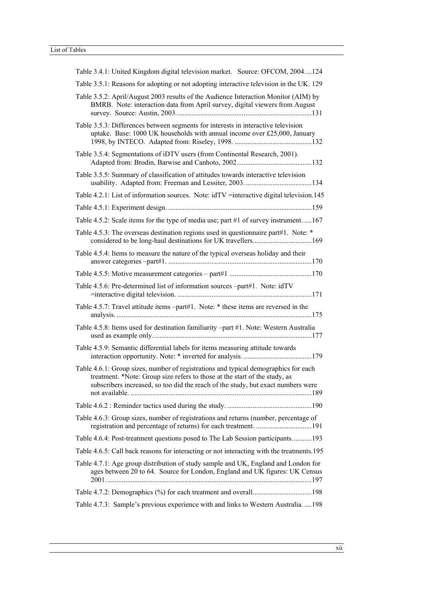| Table 3.4.1: United Kingdom digital television market. Source: OFCOM, 2004124                                                                                                                                                                         |
|-------------------------------------------------------------------------------------------------------------------------------------------------------------------------------------------------------------------------------------------------------|
|                                                                                                                                                                                                                                                       |
| Table 3.5.1: Reasons for adopting or not adopting interactive television in the UK. 129                                                                                                                                                               |
| Table 3.5.2: April/August 2003 results of the Audience Interaction Monitor (AIM) by<br>BMRB. Note: interaction data from April survey, digital viewers from August                                                                                    |
| Table 3.5.3: Differences between segments for interests in interactive television<br>uptake. Base: 1000 UK households with annual income over £25,000, January                                                                                        |
| Table 3.5.4: Segmentations of iDTV users (from Continental Research, 2001).                                                                                                                                                                           |
| Table 3.5.5: Summary of classification of attitudes towards interactive television                                                                                                                                                                    |
| Table 4.2.1: List of information sources. Note: idTV = interactive digital television.145                                                                                                                                                             |
|                                                                                                                                                                                                                                                       |
| Table 4.5.2: Scale items for the type of media use; part #1 of survey instrument. 167                                                                                                                                                                 |
| Table 4.5.3: The overseas destination regions used in question aircroard Part #1. Note: *<br>considered to be long-haul destinations for UK travellers169                                                                                             |
| Table 4.5.4: Items to measure the nature of the typical overseas holiday and their                                                                                                                                                                    |
|                                                                                                                                                                                                                                                       |
| Table 4.5.6: Pre-determined list of information sources -part#1. Note: idTV                                                                                                                                                                           |
| Table 4.5.7: Travel attitude items -part#1. Note: * these items are reversed in the                                                                                                                                                                   |
| Table 4.5.8: Items used for destination familiarity -part #1. Note: Western Australia                                                                                                                                                                 |
| Table 4.5.9: Semantic differential labels for items measuring attitude towards                                                                                                                                                                        |
| Table 4.6.1: Group sizes, number of registrations and typical demographics for each<br>treatment. *Note: Group size refers to those at the start of the study, as<br>subscribers increased, so too did the reach of the study, but exact numbers were |
|                                                                                                                                                                                                                                                       |
| Table 4.6.3: Group sizes, number of registrations and returns (number, percentage of                                                                                                                                                                  |
| Table 4.6.4: Post-treatment questions posed to The Lab Session participants193                                                                                                                                                                        |
| Table 4.6.5: Call back reasons for interacting or not interacting with the treatments.195                                                                                                                                                             |
| Table 4.7.1: Age group distribution of study sample and UK, England and London for<br>ages between 20 to 64. Source for London, England and UK figures: UK Census                                                                                     |
|                                                                                                                                                                                                                                                       |
| Table 4.7.3: Sample's previous experience with and links to Western Australia.  198                                                                                                                                                                   |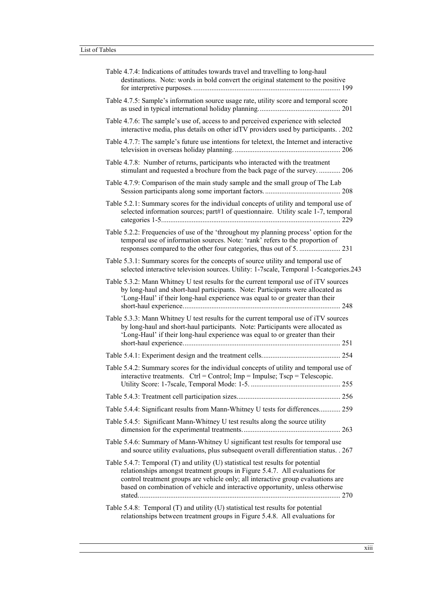| Table 4.7.4: Indications of attitudes towards travel and travelling to long-haul<br>destinations. Note: words in bold convert the original statement to the positive                                                                                                                                                                 |
|--------------------------------------------------------------------------------------------------------------------------------------------------------------------------------------------------------------------------------------------------------------------------------------------------------------------------------------|
| Table 4.7.5: Sample's information source usage rate, utility score and temporal score                                                                                                                                                                                                                                                |
| Table 4.7.6: The sample's use of, access to and perceived experience with selected<br>interactive media, plus details on other idTV providers used by participants. . 202                                                                                                                                                            |
| Table 4.7.7: The sample's future use intentions for teletext, the Internet and interactive                                                                                                                                                                                                                                           |
| Table 4.7.8: Number of returns, participants who interacted with the treatment<br>stimulant and requested a brochure from the back page of the survey.  206                                                                                                                                                                          |
| Table 4.7.9: Comparison of the main study sample and the small group of The Lab                                                                                                                                                                                                                                                      |
| Table 5.2.1: Summary scores for the individual concepts of utility and temporal use of<br>selected information sources; part#1 of questionnaire. Utility scale 1-7, temporal                                                                                                                                                         |
| Table 5.2.2: Frequencies of use of the 'throughout my planning process' option for the<br>temporal use of information sources. Note: 'rank' refers to the proportion of                                                                                                                                                              |
| Table 5.3.1: Summary scores for the concepts of source utility and temporal use of<br>selected interactive television sources. Utility: 1-7scale, Temporal 1-5categories.243                                                                                                                                                         |
| Table 5.3.2: Mann Whitney U test results for the current temporal use of iTV sources<br>by long-haul and short-haul participants. Note: Participants were allocated as<br>'Long-Haul' if their long-haul experience was equal to or greater than their                                                                               |
| Table 5.3.3: Mann Whitney U test results for the current temporal use of iTV sources<br>by long-haul and short-haul participants. Note: Participants were allocated as<br>'Long-Haul' if their long-haul experience was equal to or greater than their                                                                               |
|                                                                                                                                                                                                                                                                                                                                      |
| Table 5.4.2: Summary scores for the individual concepts of utility and temporal use of<br>interactive treatments. $Ctrl = Control$ ; Imp = Impulse; $Tsep = Telescope$ .                                                                                                                                                             |
|                                                                                                                                                                                                                                                                                                                                      |
| Table 5.4.4: Significant results from Mann-Whitney U tests for differences 259                                                                                                                                                                                                                                                       |
| Table 5.4.5: Significant Mann-Whitney U test results along the source utility                                                                                                                                                                                                                                                        |
| Table 5.4.6: Summary of Mann-Whitney U significant test results for temporal use<br>and source utility evaluations, plus subsequent overall differentiation status. . 267                                                                                                                                                            |
| Table 5.4.7: Temporal (T) and utility (U) statistical test results for potential<br>relationships amongst treatment groups in Figure 5.4.7. All evaluations for<br>control treatment groups are vehicle only; all interactive group evaluations are<br>based on combination of vehicle and interactive opportunity, unless otherwise |
| Table 5.4.8: Temporal (T) and utility (U) statistical test results for potential<br>relationships between treatment groups in Figure 5.4.8. All evaluations for                                                                                                                                                                      |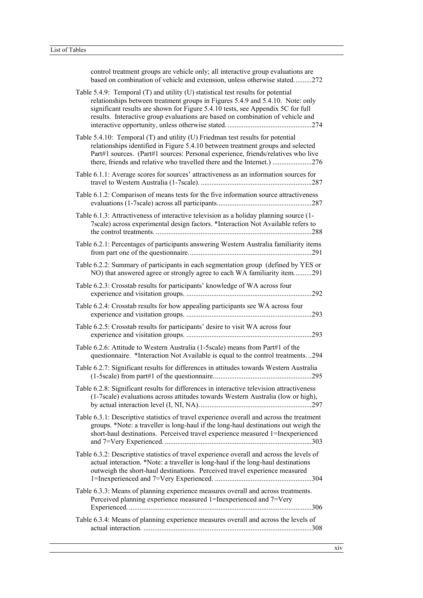| control treatment groups are vehicle only; all interactive group evaluations are<br>based on combination of vehicle and extension, unless otherwise stated272                                                                                                                                                                           |
|-----------------------------------------------------------------------------------------------------------------------------------------------------------------------------------------------------------------------------------------------------------------------------------------------------------------------------------------|
| Table 5.4.9: Temporal (T) and utility (U) statistical test results for potential<br>relationships between treatment groups in Figures 5.4.9 and 5.4.10. Note: only<br>significant results are shown for Figure 5.4.10 tests, see Appendix 5C for full<br>results. Interactive group evaluations are based on combination of vehicle and |
| Table 5.4.10: Temporal (T) and utility (U) Friedman test results for potential<br>relationships identified in Figure 5.4.10 between treatment groups and selected<br>Part#1 sources. (Part#1 sources: Personal experience, friends/relatives who live<br>there, friends and relative who travelled there and the Internet.) 276         |
| Table 6.1.1: Average scores for sources' attractiveness as an information sources for                                                                                                                                                                                                                                                   |
| Table 6.1.2: Comparison of means tests for the five information source attractiveness                                                                                                                                                                                                                                                   |
| Table 6.1.3: Attractiveness of interactive television as a holiday planning source (1-<br>7scale) across experimental design factors. *Interaction Not Available refers to                                                                                                                                                              |
| Table 6.2.1: Percentages of participants answering Western Australia familiarity items                                                                                                                                                                                                                                                  |
| Table 6.2.2: Summary of participants in each segmentation group (defined by YES or<br>NO) that answered agree or strongly agree to each WA familiarity item291                                                                                                                                                                          |
| Table 6.2.3: Crosstab results for participants' knowledge of WA across four                                                                                                                                                                                                                                                             |
| Table 6.2.4: Crosstab results for how appealing participants see WA across four                                                                                                                                                                                                                                                         |
| .293                                                                                                                                                                                                                                                                                                                                    |
| Table 6.2.5: Crosstab results for participants' desire to visit WA across four                                                                                                                                                                                                                                                          |
| Table 6.2.6: Attitude to Western Australia (1-5scale) means from Part#1 of the<br>questionnaire. *Interaction Not Available is equal to the control treatments294                                                                                                                                                                       |
| Table 6.2.7: Significant results for differences in attitudes towards Western Australia                                                                                                                                                                                                                                                 |
| Table 6.2.8: Significant results for differences in interactive television attractiveness<br>(1-7scale) evaluations across attitudes towards Western Australia (low or high),                                                                                                                                                           |
| Table 6.3.1: Descriptive statistics of travel experience overall and across the treatment<br>groups. *Note: a traveller is long-haul if the long-haul destinations out weigh the<br>short-haul destinations. Perceived travel experience measured 1=Inexperienced                                                                       |
| Table 6.3.2: Descriptive statistics of travel experience overall and across the levels of<br>actual interaction. *Note: a traveller is long-haul if the long-haul destinations<br>outweigh the short-haul destinations. Perceived travel experience measured                                                                            |
| Table 6.3.3: Means of planning experience measures overall and across treatments.<br>Perceived planning experience measured 1=Inexperienced and 7=Very                                                                                                                                                                                  |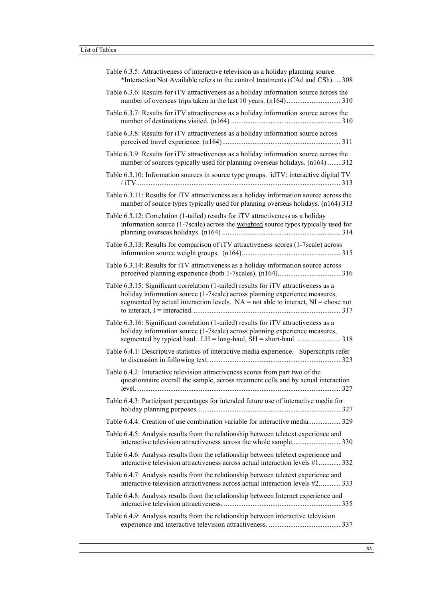| Table 6.3.5: Attractiveness of interactive television as a holiday planning source.<br>*Interaction Not Available refers to the control treatments (CAd and CSh).  308                                                                                      |
|-------------------------------------------------------------------------------------------------------------------------------------------------------------------------------------------------------------------------------------------------------------|
| Table 6.3.6: Results for iTV attractiveness as a holiday information source across the                                                                                                                                                                      |
| Table 6.3.7: Results for iTV attractiveness as a holiday information source across the                                                                                                                                                                      |
| Table 6.3.8: Results for iTV attractiveness as a holiday information source across                                                                                                                                                                          |
| Table 6.3.9: Results for iTV attractiveness as a holiday information source across the<br>number of sources typically used for planning overseas holidays. (n164)  312                                                                                      |
| Table 6.3.10: Information sources in source type groups. idTV: interactive digital TV                                                                                                                                                                       |
| Table 6.3.11: Results for iTV attractiveness as a holiday information source across the<br>number of source types typically used for planning overseas holidays. (n164) 313                                                                                 |
| Table 6.3.12: Correlation (1-tailed) results for iTV attractiveness as a holiday<br>information source (1-7scale) across the weighted source types typically used for                                                                                       |
| Table 6.3.13: Results for comparison of iTV attractiveness scores (1-7scale) across                                                                                                                                                                         |
| Table 6.3.14: Results for iTV attractiveness as a holiday information source across                                                                                                                                                                         |
| Table 6.3.15: Significant correlation (1-tailed) results for iTV attractiveness as a<br>holiday information source (1-7scale) across planning experience measures,<br>segmented by actual interaction levels. $NA = not$ able to interact, $NI = chose$ not |
| Table 6.3.16: Significant correlation (1-tailed) results for iTV attractiveness as a<br>holiday information source (1-7scale) across planning experience measures,                                                                                          |
| Table 6.4.1: Descriptive statistics of interactive media experience. Superscripts refer                                                                                                                                                                     |
| Table 6.4.2: Interactive television attractiveness scores from part two of the<br>questionnaire overall the sample, across treatment cells and by actual interaction                                                                                        |
| Table 6.4.3: Participant percentages for intended future use of interactive media for                                                                                                                                                                       |
| Table 6.4.4: Creation of use combination variable for interactive media 329                                                                                                                                                                                 |
| Table 6.4.5: Analysis results from the relationship between teletext experience and                                                                                                                                                                         |
| Table 6.4.6: Analysis results from the relationship between teletext experience and<br>interactive television attractiveness across actual interaction levels #1 332                                                                                        |
| Table 6.4.7: Analysis results from the relationship between teletext experience and<br>interactive television attractiveness across actual interaction levels #2 333                                                                                        |
| Table 6.4.8: Analysis results from the relationship between Internet experience and                                                                                                                                                                         |
| Table 6.4.9: Analysis results from the relationship between interactive television                                                                                                                                                                          |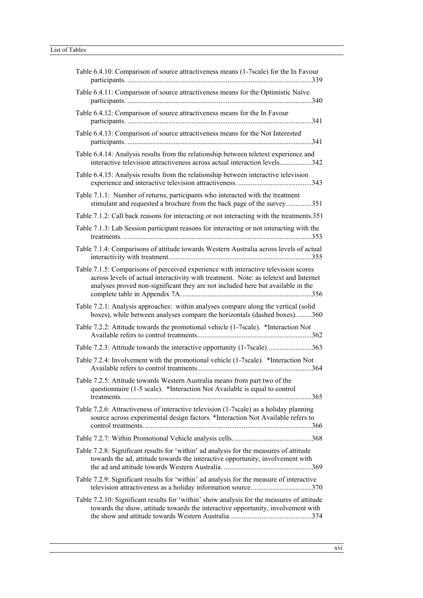| Table 6.4.10: Comparison of source attractiveness means (1-7scale) for the In Favour                                                                                                                                                                           |
|----------------------------------------------------------------------------------------------------------------------------------------------------------------------------------------------------------------------------------------------------------------|
| Table 6.4.11: Comparison of source attractiveness means for the Optimistic Naïve                                                                                                                                                                               |
| Table 6.4.12: Comparison of source attractiveness means for the In Favour                                                                                                                                                                                      |
| Table 6.4.13: Comparison of source attractiveness means for the Not Interested                                                                                                                                                                                 |
| Table 6.4.14: Analysis results from the relationship between teletext experience and<br>interactive television attractiveness across actual interaction levels342                                                                                              |
| Table 6.4.15: Analysis results from the relationship between interactive television                                                                                                                                                                            |
| Table 7.1.1: Number of returns, participants who interacted with the treatment<br>stimulant and requested a brochure from the back page of the survey351                                                                                                       |
| Table 7.1.2: Call back reasons for interacting or not interacting with the treatments.351                                                                                                                                                                      |
| Table 7.1.3: Lab Session participant reasons for interacting or not interacting with the                                                                                                                                                                       |
| Table 7.1.4: Comparisons of attitude towards Western Australia across levels of actual                                                                                                                                                                         |
| Table 7.1.5: Comparisons of perceived experience with interactive television scores<br>across levels of actual interactivity with treatment. Note: as teletext and Internet<br>analyses proved non-significant they are not included here but available in the |
| Table 7.2.1: Analysis approaches: within analyses compare along the vertical (solid<br>boxes), while between analyses compare the horizontals (dashed boxes)360                                                                                                |
| Table 7.2.2: Attitude towards the promotional vehicle (1-7scale). *Interaction Not                                                                                                                                                                             |
| Table 7.2.3: Attitude towards the interactive opportunity (1-7scale)363                                                                                                                                                                                        |
| Table 7.2.4: Involvement with the promotional vehicle (1-7scale). *Interaction Not                                                                                                                                                                             |
| Table 7.2.5: Attitude towards Western Australia means from part two of the<br>questionnaire (1-5 scale). *Interaction Not Available is equal to control                                                                                                        |
| Table 7.2.6: Attractiveness of interactive television (1-7scale) as a holiday planning<br>source across experimental design factors. *Interaction Not Available refers to                                                                                      |
|                                                                                                                                                                                                                                                                |
| Table 7.2.8: Significant results for 'within' ad analysis for the measures of attitude<br>towards the ad, attitude towards the interactive opportunity, involvement with                                                                                       |
| Table 7.2.9: Significant results for 'within' ad analysis for the measure of interactive<br>television attractiveness as a holiday information source370                                                                                                       |
| Table 7.2.10: Significant results for 'within' show analysis for the measures of attitude<br>towards the show, attitude towards the interactive opportunity, involvement with                                                                                  |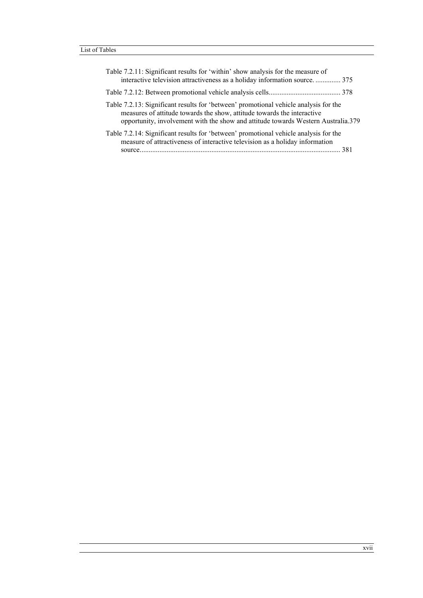| Table 7.2.11: Significant results for 'within' show analysis for the measure of<br>interactive television attractiveness as a holiday information source 375                                                                                         |  |
|------------------------------------------------------------------------------------------------------------------------------------------------------------------------------------------------------------------------------------------------------|--|
|                                                                                                                                                                                                                                                      |  |
| Table 7.2.13: Significant results for 'between' promotional vehicle analysis for the<br>measures of attitude towards the show, attitude towards the interactive<br>opportunity, involvement with the show and attitude towards Western Australia.379 |  |
| Table 7.2.14: Significant results for 'between' promotional vehicle analysis for the<br>measure of attractiveness of interactive television as a holiday information                                                                                 |  |
|                                                                                                                                                                                                                                                      |  |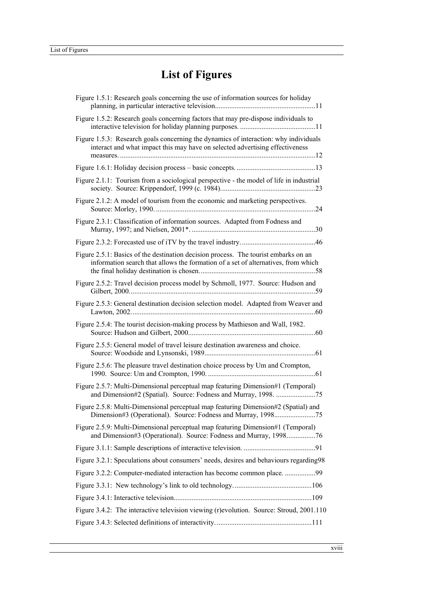# **List of Figures**

<span id="page-19-0"></span>

| Figure 1.5.1: Research goals concerning the use of information sources for holiday                                                                                       |
|--------------------------------------------------------------------------------------------------------------------------------------------------------------------------|
| Figure 1.5.2: Research goals concerning factors that may pre-dispose individuals to                                                                                      |
| Figure 1.5.3: Research goals concerning the dynamics of interaction: why individuals<br>interact and what impact this may have on selected advertising effectiveness     |
|                                                                                                                                                                          |
| Figure 2.1.1: Tourism from a sociological perspective - the model of life in industrial                                                                                  |
| Figure 2.1.2: A model of tourism from the economic and marketing perspectives.                                                                                           |
| Figure 2.3.1: Classification of information sources. Adapted from Fodness and                                                                                            |
|                                                                                                                                                                          |
| Figure 2.5.1: Basics of the destination decision process. The tourist embarks on an<br>information search that allows the formation of a set of alternatives, from which |
| Figure 2.5.2: Travel decision process model by Schmoll, 1977. Source: Hudson and                                                                                         |
| Figure 2.5.3: General destination decision selection model. Adapted from Weaver and                                                                                      |
| Figure 2.5.4: The tourist decision-making process by Mathieson and Wall, 1982.                                                                                           |
| Figure 2.5.5: General model of travel leisure destination awareness and choice.                                                                                          |
| Figure 2.5.6: The pleasure travel destination choice process by Um and Crompton,                                                                                         |
| Figure 2.5.7: Multi-Dimensional perceptual map featuring Dimension#1 (Temporal)                                                                                          |
| Figure 2.5.8: Multi-Dimensional perceptual map featuring Dimension#2 (Spatial) and                                                                                       |
| Figure 2.5.9: Multi-Dimensional perceptual map featuring Dimension#1 (Temporal)<br>and Dimension#3 (Operational). Source: Fodness and Murray, 199876                     |
|                                                                                                                                                                          |
| Figure 3.2.1: Speculations about consumers' needs, desires and behaviours regarding 98                                                                                   |
| Figure 3.2.2: Computer-mediated interaction has become common place. 99                                                                                                  |
|                                                                                                                                                                          |
|                                                                                                                                                                          |
| Figure 3.4.2: The interactive television viewing (r)evolution. Source: Stroud, 2001.110                                                                                  |
|                                                                                                                                                                          |
|                                                                                                                                                                          |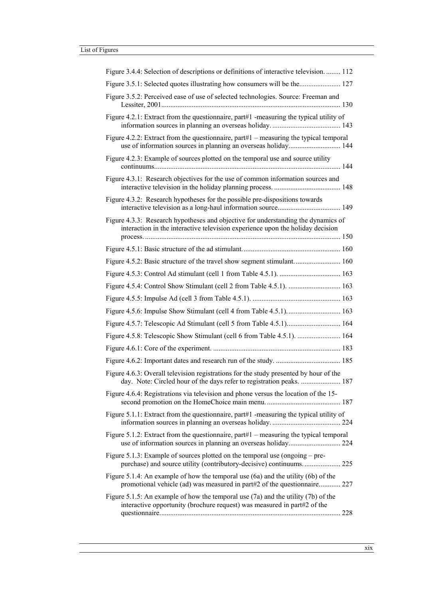| Figure 3.4.4: Selection of descriptions or definitions of interactive television 112                                                                                |
|---------------------------------------------------------------------------------------------------------------------------------------------------------------------|
|                                                                                                                                                                     |
| Figure 3.5.2: Perceived ease of use of selected technologies. Source: Freeman and                                                                                   |
| Figure 4.2.1: Extract from the questionnaire, part#1 -measuring the typical utility of                                                                              |
| Figure 4.2.2: Extract from the questionnaire, part#1 – measuring the typical temporal<br>use of information sources in planning an overseas holiday 144             |
| Figure 4.2.3: Example of sources plotted on the temporal use and source utility                                                                                     |
| Figure 4.3.1: Research objectives for the use of common information sources and                                                                                     |
| Figure 4.3.2: Research hypotheses for the possible pre-dispositions towards                                                                                         |
| Figure 4.3.3: Research hypotheses and objective for understanding the dynamics of<br>interaction in the interactive television experience upon the holiday decision |
|                                                                                                                                                                     |
| Figure 4.5.2: Basic structure of the travel show segment stimulant 160                                                                                              |
|                                                                                                                                                                     |
|                                                                                                                                                                     |
|                                                                                                                                                                     |
|                                                                                                                                                                     |
| Figure 4.5.7: Telescopic Ad Stimulant (cell 5 from Table 4.5.1) 164                                                                                                 |
| Figure 4.5.8: Telescopic Show Stimulant (cell 6 from Table 4.5.1).  164                                                                                             |
|                                                                                                                                                                     |
|                                                                                                                                                                     |
| Figure 4.6.3: Overall television registrations for the study presented by hour of the<br>day. Note: Circled hour of the days refer to registration peaks.  187      |
| Figure 4.6.4: Registrations via television and phone versus the location of the 15-                                                                                 |
| Figure 5.1.1: Extract from the questionnaire, part#1 -measuring the typical utility of                                                                              |
| Figure 5.1.2: Extract from the questionnaire, part#1 – measuring the typical temporal                                                                               |
| Figure 5.1.3: Example of sources plotted on the temporal use (ongoing – pre-<br>purchase) and source utility (contributory-decisive) continuums 225                 |
| Figure 5.1.4: An example of how the temporal use (6a) and the utility (6b) of the<br>promotional vehicle (ad) was measured in part#2 of the questionnaire 227       |
| Figure 5.1.5: An example of how the temporal use $(7a)$ and the utility $(7b)$ of the<br>interactive opportunity (brochure request) was measured in part#2 of the   |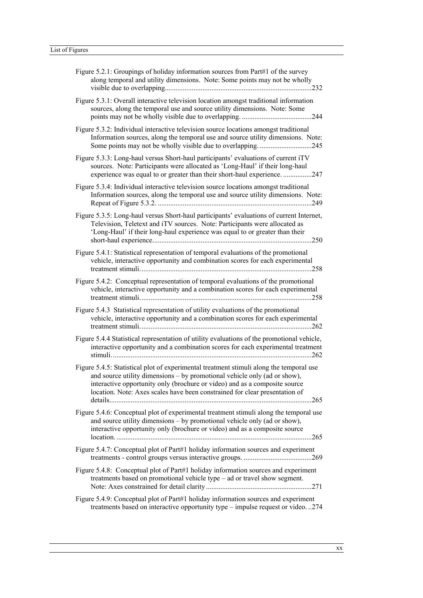| Figure 5.2.1: Groupings of holiday information sources from Part#1 of the survey<br>along temporal and utility dimensions. Note: Some points may not be wholly                                                                                                                                                                    |
|-----------------------------------------------------------------------------------------------------------------------------------------------------------------------------------------------------------------------------------------------------------------------------------------------------------------------------------|
| Figure 5.3.1: Overall interactive television location amongst traditional information<br>sources, along the temporal use and source utility dimensions. Note: Some                                                                                                                                                                |
| Figure 5.3.2: Individual interactive television source locations amongst traditional<br>Information sources, along the temporal use and source utility dimensions. Note:                                                                                                                                                          |
| Figure 5.3.3: Long-haul versus Short-haul participants' evaluations of current iTV<br>sources. Note: Participants were allocated as 'Long-Haul' if their long-haul<br>experience was equal to or greater than their short-haul experience247                                                                                      |
| Figure 5.3.4: Individual interactive television source locations amongst traditional<br>Information sources, along the temporal use and source utility dimensions. Note:                                                                                                                                                          |
| Figure 5.3.5: Long-haul versus Short-haul participants' evaluations of current Internet,<br>Television, Teletext and iTV sources. Note: Participants were allocated as<br>'Long-Haul' if their long-haul experience was equal to or greater than their<br>250                                                                     |
| Figure 5.4.1: Statistical representation of temporal evaluations of the promotional<br>vehicle, interactive opportunity and combination scores for each experimental                                                                                                                                                              |
| Figure 5.4.2: Conceptual representation of temporal evaluations of the promotional<br>vehicle, interactive opportunity and a combination scores for each experimental                                                                                                                                                             |
| Figure 5.4.3 Statistical representation of utility evaluations of the promotional<br>vehicle, interactive opportunity and a combination scores for each experimental                                                                                                                                                              |
| Figure 5.4.4 Statistical representation of utility evaluations of the promotional vehicle,<br>interactive opportunity and a combination scores for each experimental treatment                                                                                                                                                    |
| Figure 5.4.5: Statistical plot of experimental treatment stimuli along the temporal use<br>and source utility dimensions - by promotional vehicle only (ad or show),<br>interactive opportunity only (brochure or video) and as a composite source<br>location. Note: Axes scales have been constrained for clear presentation of |
| Figure 5.4.6: Conceptual plot of experimental treatment stimuli along the temporal use<br>and source utility dimensions – by promotional vehicle only (ad or show),<br>interactive opportunity only (brochure or video) and as a composite source                                                                                 |
| Figure 5.4.7: Conceptual plot of Part#1 holiday information sources and experiment                                                                                                                                                                                                                                                |
| Figure 5.4.8: Conceptual plot of Part#1 holiday information sources and experiment<br>treatments based on promotional vehicle type - ad or travel show segment.                                                                                                                                                                   |
| Figure 5.4.9: Conceptual plot of Part#1 holiday information sources and experiment<br>treatments based on interactive opportunity type - impulse request or video274                                                                                                                                                              |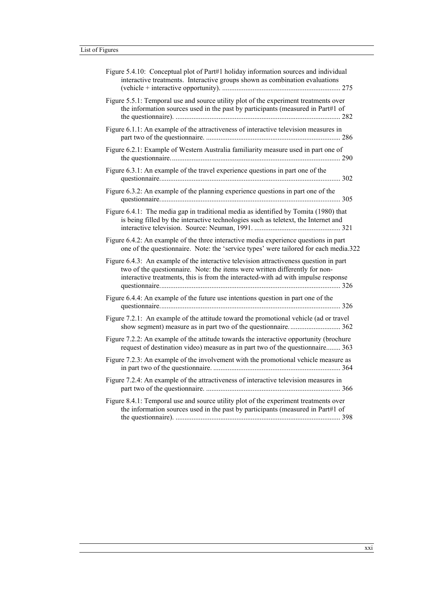| Figure 5.4.10: Conceptual plot of Part#1 holiday information sources and individual<br>interactive treatments. Interactive groups shown as combination evaluations                                                                                         |
|------------------------------------------------------------------------------------------------------------------------------------------------------------------------------------------------------------------------------------------------------------|
| Figure 5.5.1: Temporal use and source utility plot of the experiment treatments over<br>the information sources used in the past by participants (measured in Part#1 of                                                                                    |
| Figure 6.1.1: An example of the attractiveness of interactive television measures in                                                                                                                                                                       |
| Figure 6.2.1: Example of Western Australia familiarity measure used in part one of                                                                                                                                                                         |
| Figure 6.3.1: An example of the travel experience questions in part one of the                                                                                                                                                                             |
| Figure 6.3.2: An example of the planning experience questions in part one of the                                                                                                                                                                           |
| Figure 6.4.1: The media gap in traditional media as identified by Tomita (1980) that<br>is being filled by the interactive technologies such as teletext, the Internet and                                                                                 |
| Figure 6.4.2: An example of the three interactive media experience questions in part<br>one of the questionnaire. Note: the 'service types' were tailored for each media.322                                                                               |
| Figure 6.4.3: An example of the interactive television attractiveness question in part<br>two of the questionnaire. Note: the items were written differently for non-<br>interactive treatments, this is from the interacted-with ad with impulse response |
| Figure 6.4.4: An example of the future use intentions question in part one of the                                                                                                                                                                          |
| Figure 7.2.1: An example of the attitude toward the promotional vehicle (ad or travel                                                                                                                                                                      |
| Figure 7.2.2: An example of the attitude towards the interactive opportunity (brochure<br>request of destination video) measure as in part two of the questionnaire 363                                                                                    |
| Figure 7.2.3: An example of the involvement with the promotional vehicle measure as                                                                                                                                                                        |
| Figure 7.2.4: An example of the attractiveness of interactive television measures in                                                                                                                                                                       |
| Figure 8.4.1: Temporal use and source utility plot of the experiment treatments over<br>the information sources used in the past by participants (measured in Part#1 of                                                                                    |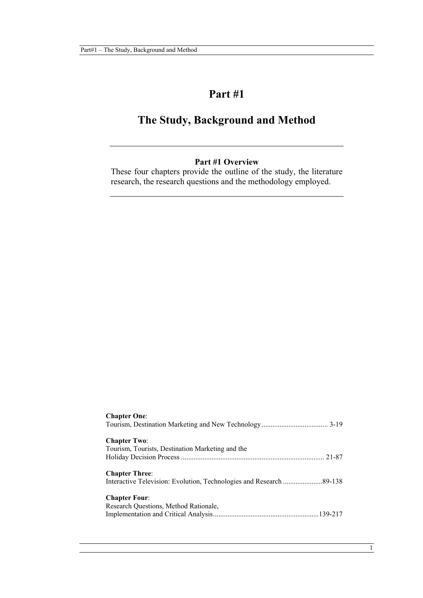## **Part #1**

## **The Study, Background and Method**

#### **Part #1 Overview**

These four chapters provide the outline of the study, the literature research, the research questions and the methodology employed.

| <b>Chapter One:</b>                              |
|--------------------------------------------------|
|                                                  |
| <b>Chapter Two:</b>                              |
| Tourism, Tourists, Destination Marketing and the |
|                                                  |
| <b>Chapter Three:</b>                            |
|                                                  |
| <b>Chapter Four:</b>                             |
| Research Questions, Method Rationale,            |
|                                                  |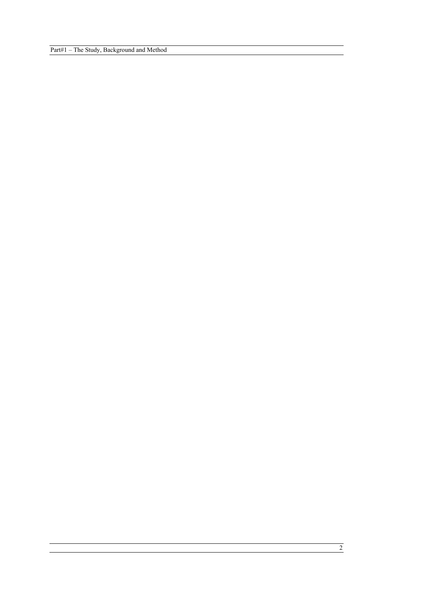Part#1 – The Study, Background and Method